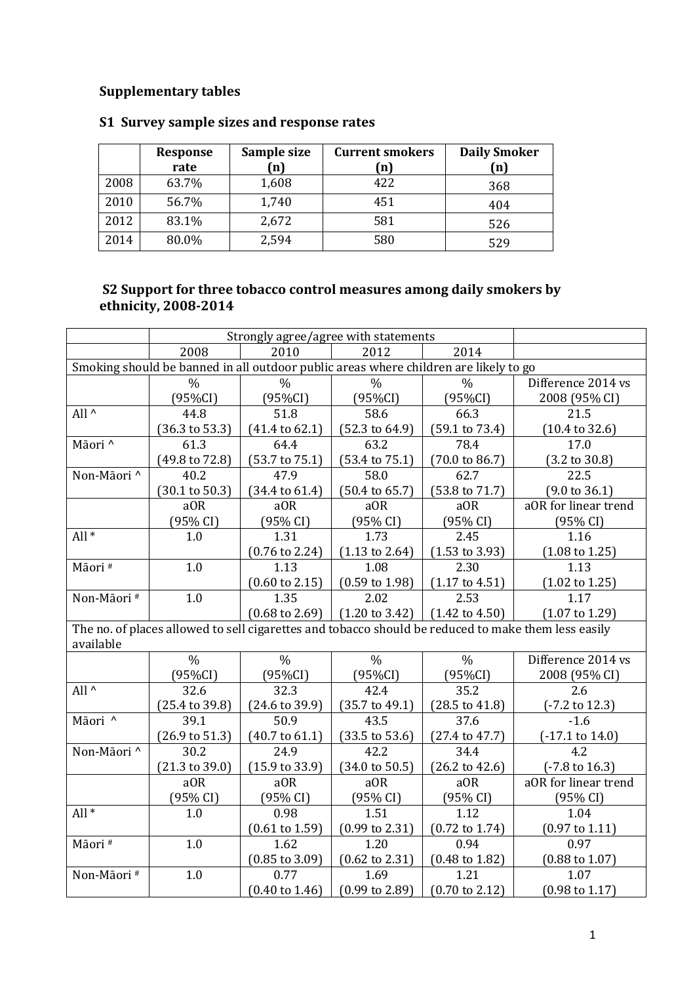## **Supplementary tables**

|      | Response | Sample size  | <b>Current smokers</b> | <b>Daily Smoker</b> |
|------|----------|--------------|------------------------|---------------------|
|      | rate     | $\mathbf{n}$ | (n)                    | n)                  |
| 2008 | 63.7%    | 1,608        | 422                    | 368                 |
| 2010 | 56.7%    | 1,740        | 451                    | 404                 |
| 2012 | 83.1%    | 2,672        | 581                    | 526                 |
| 2014 | 80.0%    | 2,594        | 580                    | 529                 |

## **S1 Survey sample sizes and response rates**

## **S2 Support for three tobacco control measures among daily smokers by ethnicity, 2008-2014**

|                                                                                                                  | Strongly agree/agree with statements |                           |                           |                           |                            |  |  |  |
|------------------------------------------------------------------------------------------------------------------|--------------------------------------|---------------------------|---------------------------|---------------------------|----------------------------|--|--|--|
|                                                                                                                  | 2008                                 | 2010                      | 2012                      | 2014                      |                            |  |  |  |
| Smoking should be banned in all outdoor public areas where children are likely to go                             |                                      |                           |                           |                           |                            |  |  |  |
|                                                                                                                  | $\frac{0}{0}$                        | $\frac{0}{0}$             | $\frac{0}{0}$             | $\frac{0}{0}$             | Difference 2014 vs         |  |  |  |
|                                                                                                                  | (95%CI)                              | $(95\%CI)$                | $(95\%CI)$                | (95%CI)                   | 2008 (95% CI)              |  |  |  |
| All $\wedge$                                                                                                     | 44.8                                 | 51.8                      | 58.6                      | 66.3                      | 21.5                       |  |  |  |
|                                                                                                                  | $(36.3 \text{ to } 53.3)$            | $(41.4 \text{ to } 62.1)$ | $(52.3 \text{ to } 64.9)$ | (59.1 to 73.4)            | $(10.4 \text{ to } 32.6)$  |  |  |  |
| Māori ^                                                                                                          | 61.3                                 | 64.4                      | 63.2                      | 78.4                      | 17.0                       |  |  |  |
|                                                                                                                  | $(49.8 \text{ to } 72.8)$            | $(53.7 \text{ to } 75.1)$ | $(53.4 \text{ to } 75.1)$ | $(70.0 \text{ to } 86.7)$ | $(3.2 \text{ to } 30.8)$   |  |  |  |
| Non-Māori ^                                                                                                      | 40.2                                 | 47.9                      | 58.0                      | 62.7                      | 22.5                       |  |  |  |
|                                                                                                                  | $(30.1 \text{ to } 50.3)$            | $(34.4 \text{ to } 61.4)$ | $(50.4 \text{ to } 65.7)$ | $(53.8 \text{ to } 71.7)$ | $(9.0 \text{ to } 36.1)$   |  |  |  |
|                                                                                                                  | a <sub>OR</sub>                      | aOR                       | a <sub>OR</sub>           | aOR                       | aOR for linear trend       |  |  |  |
|                                                                                                                  | (95% CI)                             | (95% CI)                  | (95% CI)                  | (95% CI)                  | (95% CI)                   |  |  |  |
| All $*$                                                                                                          | 1.0                                  | 1.31                      | 1.73                      | 2.45                      | 1.16                       |  |  |  |
|                                                                                                                  |                                      | $(0.76 \text{ to } 2.24)$ | $(1.13 \text{ to } 2.64)$ | $(1.53 \text{ to } 3.93)$ | $(1.08 \text{ to } 1.25)$  |  |  |  |
| Māori#                                                                                                           | 1.0                                  | 1.13                      | 1.08                      | 2.30                      | 1.13                       |  |  |  |
|                                                                                                                  |                                      | $(0.60 \text{ to } 2.15)$ | $(0.59 \text{ to } 1.98)$ | $(1.17 \text{ to } 4.51)$ | $(1.02 \text{ to } 1.25)$  |  |  |  |
| Non-Māori#                                                                                                       | 1.0                                  | 1.35                      | 2.02                      | 2.53                      | 1.17                       |  |  |  |
|                                                                                                                  |                                      | $(0.68 \text{ to } 2.69)$ | $(1.20 \text{ to } 3.42)$ | $(1.42 \text{ to } 4.50)$ | $(1.07 \text{ to } 1.29)$  |  |  |  |
| The no. of places allowed to sell cigarettes and tobacco should be reduced to make them less easily<br>available |                                      |                           |                           |                           |                            |  |  |  |
|                                                                                                                  | $\frac{0}{0}$                        | $\frac{0}{0}$             | $\frac{0}{0}$             | $\frac{0}{0}$             | Difference 2014 vs         |  |  |  |
|                                                                                                                  | $(95\%CI)$                           | $(95\%CI)$                | (95%CI)                   | (95%CI)                   | 2008 (95% CI)              |  |  |  |
| All $\wedge$                                                                                                     | 32.6                                 | 32.3                      | 42.4                      | 35.2                      | 2.6                        |  |  |  |
|                                                                                                                  | $(25.4 \text{ to } 39.8)$            | $(24.6 \text{ to } 39.9)$ | $(35.7 \text{ to } 49.1)$ | $(28.5 \text{ to } 41.8)$ | (-7.2 to 12.3)             |  |  |  |
| Māori ^                                                                                                          | 39.1                                 | $\overline{50.9}$         | $43.\overline{5}$         | 37.6                      | $-1.6$                     |  |  |  |
|                                                                                                                  | $(26.9 \text{ to } 51.3)$            | $(40.7 \text{ to } 61.1)$ | $(33.5 \text{ to } 53.6)$ | $(27.4 \text{ to } 47.7)$ | $(-17.1 \text{ to } 14.0)$ |  |  |  |
| Non-Māori ^                                                                                                      | 30.2                                 | 24.9                      | 42.2                      | 34.4                      | 4.2                        |  |  |  |
|                                                                                                                  | $(21.3 \text{ to } 39.0)$            | $(15.9 \text{ to } 33.9)$ | $(34.0 \text{ to } 50.5)$ | $(26.2 \text{ to } 42.6)$ | $(-7.8 \text{ to } 16.3)$  |  |  |  |
|                                                                                                                  | aOR                                  | aOR                       | a <sub>OR</sub>           | aOR                       | aOR for linear trend       |  |  |  |
|                                                                                                                  | (95% CI)                             | (95% CI)                  | (95% CI)                  | (95% CI)                  | (95% CI)                   |  |  |  |
| $All*$                                                                                                           | 1.0                                  | 0.98                      | 1.51                      | 1.12                      | 1.04                       |  |  |  |
|                                                                                                                  |                                      | $(0.61 \text{ to } 1.59)$ | $(0.99 \text{ to } 2.31)$ | $(0.72 \text{ to } 1.74)$ | $(0.97 \text{ to } 1.11)$  |  |  |  |
| Māori#                                                                                                           | 1.0                                  | 1.62                      | 1.20                      | 0.94                      | 0.97                       |  |  |  |
|                                                                                                                  |                                      | $(0.85 \text{ to } 3.09)$ | $(0.62 \text{ to } 2.31)$ | $(0.48 \text{ to } 1.82)$ | $(0.88 \text{ to } 1.07)$  |  |  |  |
| Non-Māori#                                                                                                       | 1.0                                  | 0.77                      | 1.69                      | 1.21                      | 1.07                       |  |  |  |
|                                                                                                                  |                                      | $(0.40 \text{ to } 1.46)$ | $(0.99 \text{ to } 2.89)$ | $(0.70 \text{ to } 2.12)$ | $(0.98 \text{ to } 1.17)$  |  |  |  |